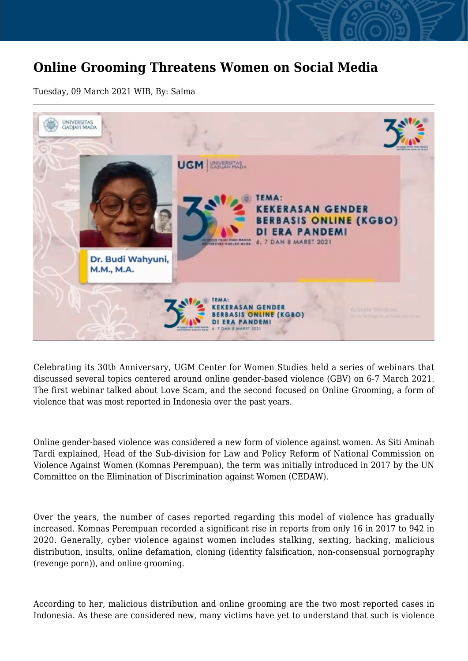## **Online Grooming Threatens Women on Social Media**

Tuesday, 09 March 2021 WIB, By: Salma



Celebrating its 30th Anniversary, UGM Center for Women Studies held a series of webinars that discussed several topics centered around online gender-based violence (GBV) on 6-7 March 2021. The first webinar talked about Love Scam, and the second focused on Online Grooming, a form of violence that was most reported in Indonesia over the past years.

Online gender-based violence was considered a new form of violence against women. As Siti Aminah Tardi explained, Head of the Sub-division for Law and Policy Reform of National Commission on Violence Against Women (Komnas Perempuan), the term was initially introduced in 2017 by the UN Committee on the Elimination of Discrimination against Women (CEDAW).

Over the years, the number of cases reported regarding this model of violence has gradually increased. Komnas Perempuan recorded a significant rise in reports from only 16 in 2017 to 942 in 2020. Generally, cyber violence against women includes stalking, sexting, hacking, malicious distribution, insults, online defamation, cloning (identity falsification, non-consensual pornography (revenge porn)), and online grooming.

According to her, malicious distribution and online grooming are the two most reported cases in Indonesia. As these are considered new, many victims have yet to understand that such is violence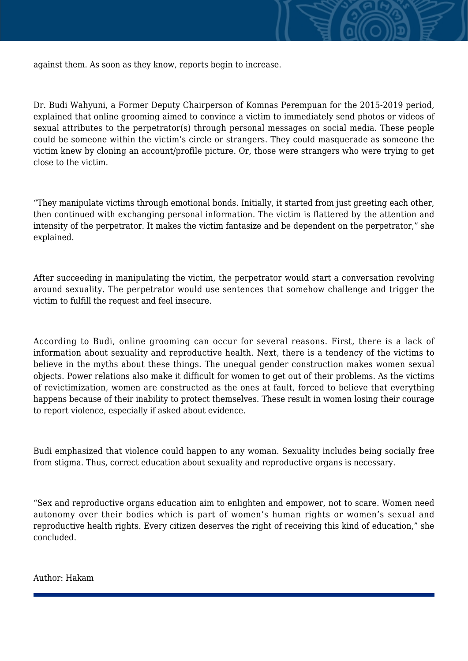

Dr. Budi Wahyuni, a Former Deputy Chairperson of Komnas Perempuan for the 2015-2019 period, explained that online grooming aimed to convince a victim to immediately send photos or videos of sexual attributes to the perpetrator(s) through personal messages on social media. These people could be someone within the victim's circle or strangers. They could masquerade as someone the victim knew by cloning an account/profile picture. Or, those were strangers who were trying to get close to the victim.

"They manipulate victims through emotional bonds. Initially, it started from just greeting each other, then continued with exchanging personal information. The victim is flattered by the attention and intensity of the perpetrator. It makes the victim fantasize and be dependent on the perpetrator," she explained.

After succeeding in manipulating the victim, the perpetrator would start a conversation revolving around sexuality. The perpetrator would use sentences that somehow challenge and trigger the victim to fulfill the request and feel insecure.

According to Budi, online grooming can occur for several reasons. First, there is a lack of information about sexuality and reproductive health. Next, there is a tendency of the victims to believe in the myths about these things. The unequal gender construction makes women sexual objects. Power relations also make it difficult for women to get out of their problems. As the victims of revictimization, women are constructed as the ones at fault, forced to believe that everything happens because of their inability to protect themselves. These result in women losing their courage to report violence, especially if asked about evidence.

Budi emphasized that violence could happen to any woman. Sexuality includes being socially free from stigma. Thus, correct education about sexuality and reproductive organs is necessary.

"Sex and reproductive organs education aim to enlighten and empower, not to scare. Women need autonomy over their bodies which is part of women's human rights or women's sexual and reproductive health rights. Every citizen deserves the right of receiving this kind of education," she concluded.

Author: Hakam